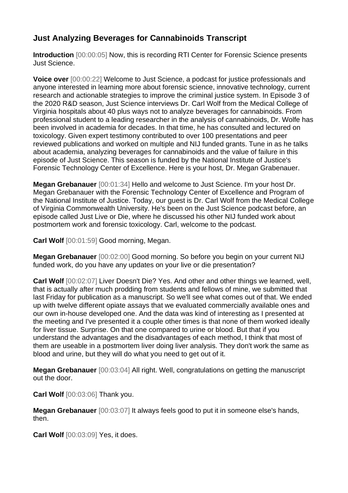## **Just Analyzing Beverages for Cannabinoids Transcript**

**Introduction** [00:00:05] Now, this is recording RTI Center for Forensic Science presents Just Science.

**Voice over** [00:00:22] Welcome to Just Science, a podcast for justice professionals and anyone interested in learning more about forensic science, innovative technology, current research and actionable strategies to improve the criminal justice system. In Episode 3 of the 2020 R&D season, Just Science interviews Dr. Carl Wolf from the Medical College of Virginia hospitals about 40 plus ways not to analyze beverages for cannabinoids. From professional student to a leading researcher in the analysis of cannabinoids, Dr. Wolfe has been involved in academia for decades. In that time, he has consulted and lectured on toxicology. Given expert testimony contributed to over 100 presentations and peer reviewed publications and worked on multiple and NIJ funded grants. Tune in as he talks about academia, analyzing beverages for cannabinoids and the value of failure in this episode of Just Science. This season is funded by the National Institute of Justice's Forensic Technology Center of Excellence. Here is your host, Dr. Megan Grabenauer.

**Megan Grebanauer** [00:01:34] Hello and welcome to Just Science. I'm your host Dr. Megan Grebanauer with the Forensic Technology Center of Excellence and Program of the National Institute of Justice. Today, our guest is Dr. Carl Wolf from the Medical College of Virginia Commonwealth University. He's been on the Just Science podcast before, an episode called Just Live or Die, where he discussed his other NIJ funded work about postmortem work and forensic toxicology. Carl, welcome to the podcast.

**Carl Wolf** [00:01:59] Good morning, Megan.

**Megan Grebanauer** [00:02:00] Good morning. So before you begin on your current NIJ funded work, do you have any updates on your live or die presentation?

**Carl Wolf** [00:02:07] Liver Doesn't Die? Yes. And other and other things we learned, well, that is actually after much prodding from students and fellows of mine, we submitted that last Friday for publication as a manuscript. So we'll see what comes out of that. We ended up with twelve different opiate assays that we evaluated commercially available ones and our own in-house developed one. And the data was kind of interesting as I presented at the meeting and I've presented it a couple other times is that none of them worked ideally for liver tissue. Surprise. On that one compared to urine or blood. But that if you understand the advantages and the disadvantages of each method, I think that most of them are useable in a postmortem liver doing liver analysis. They don't work the same as blood and urine, but they will do what you need to get out of it.

**Megan Grebanauer** [00:03:04] All right. Well, congratulations on getting the manuscript out the door.

**Carl Wolf** [00:03:06] Thank you.

**Megan Grebanauer** [00:03:07] It always feels good to put it in someone else's hands, then.

**Carl Wolf** [00:03:09] Yes, it does.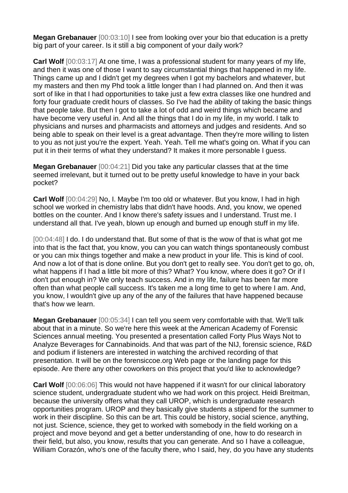**Megan Grebanauer** [00:03:10] I see from looking over your bio that education is a pretty big part of your career. Is it still a big component of your daily work?

**Carl Wolf** [00:03:17] At one time, I was a professional student for many years of my life, and then it was one of those I want to say circumstantial things that happened in my life. Things came up and I didn't get my degrees when I got my bachelors and whatever, but my masters and then my Phd took a little longer than I had planned on. And then it was sort of like in that I had opportunities to take just a few extra classes like one hundred and forty four graduate credit hours of classes. So I've had the ability of taking the basic things that people take. But then I got to take a lot of odd and weird things which became and have become very useful in. And all the things that I do in my life, in my world. I talk to physicians and nurses and pharmacists and attorneys and judges and residents. And so being able to speak on their level is a great advantage. Then they're more willing to listen to you as not just you're the expert. Yeah. Yeah. Tell me what's going on. What if you can put it in their terms of what they understand? It makes it more personable I guess.

**Megan Grebanauer** [00:04:21] Did you take any particular classes that at the time seemed irrelevant, but it turned out to be pretty useful knowledge to have in your back pocket?

**Carl Wolf** [00:04:29] No, I. Maybe I'm too old or whatever. But you know, I had in high school we worked in chemistry labs that didn't have hoods. And, you know, we opened bottles on the counter. And I know there's safety issues and I understand. Trust me. I understand all that. I've yeah, blown up enough and burned up enough stuff in my life.

[00:04:48] I do. I do understand that. But some of that is the wow of that is what got me into that is the fact that, you know, you can you can watch things spontaneously combust or you can mix things together and make a new product in your life. This is kind of cool. And now a lot of that is done online. But you don't get to really see. You don't get to go, oh, what happens if I had a little bit more of this? What? You know, where does it go? Or if I don't put enough in? We only teach success. And in my life, failure has been far more often than what people call success. It's taken me a long time to get to where I am. And, you know, I wouldn't give up any of the any of the failures that have happened because that's how we learn.

**Megan Grebanauer** [00:05:34] I can tell you seem very comfortable with that. We'll talk about that in a minute. So we're here this week at the American Academy of Forensic Sciences annual meeting. You presented a presentation called Forty Plus Ways Not to Analyze Beverages for Cannabinoids. And that was part of the NIJ, forensic science, R&D and podium if listeners are interested in watching the archived recording of that presentation. It will be on the forensiccoe.org Web page or the landing page for this episode. Are there any other coworkers on this project that you'd like to acknowledge?

**Carl Wolf** [00:06:06] This would not have happened if it wasn't for our clinical laboratory science student, undergraduate student who we had work on this project. Heidi Breitman, because the university offers what they call UROP, which is undergraduate research opportunities program. UROP and they basically give students a stipend for the summer to work in their discipline. So this can be art. This could be history, social science, anything, not just. Science, science, they get to worked with somebody in the field working on a project and move beyond and get a better understanding of one, how to do research in their field, but also, you know, results that you can generate. And so I have a colleague, William Corazón, who's one of the faculty there, who I said, hey, do you have any students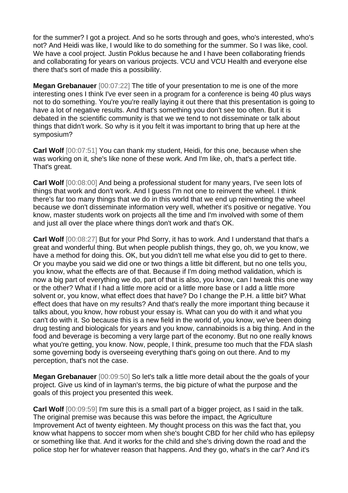for the summer? I got a project. And so he sorts through and goes, who's interested, who's not? And Heidi was like, I would like to do something for the summer. So I was like, cool. We have a cool project. Justin Poklus because he and I have been collaborating friends and collaborating for years on various projects. VCU and VCU Health and everyone else there that's sort of made this a possibility.

**Megan Grebanauer** [00:07:22] The title of your presentation to me is one of the more interesting ones I think I've ever seen in a program for a conference is being 40 plus ways not to do something. You're you're really laying it out there that this presentation is going to have a lot of negative results. And that's something you don't see too often. But it is debated in the scientific community is that we we tend to not disseminate or talk about things that didn't work. So why is it you felt it was important to bring that up here at the symposium?

**Carl Wolf**  $[00:07:51]$  You can thank my student, Heidi, for this one, because when she was working on it, she's like none of these work. And I'm like, oh, that's a perfect title. That's great.

**Carl Wolf** [00:08:00] And being a professional student for many years, I've seen lots of things that work and don't work. And I guess I'm not one to reinvent the wheel. I think there's far too many things that we do in this world that we end up reinventing the wheel because we don't disseminate information very well, whether it's positive or negative. You know, master students work on projects all the time and I'm involved with some of them and just all over the place where things don't work and that's OK.

**Carl Wolf** [00:08:27] But for your Phd Sorry, it has to work. And I understand that that's a great and wonderful thing. But when people publish things, they go, oh, we you know, we have a method for doing this. OK, but you didn't tell me what else you did to get to there. Or you maybe you said we did one or two things a little bit different, but no one tells you, you know, what the effects are of that. Because if I'm doing method validation, which is now a big part of everything we do, part of that is also, you know, can I tweak this one way or the other? What if I had a little more acid or a little more base or I add a little more solvent or, you know, what effect does that have? Do I change the P.H. a little bit? What effect does that have on my results? And that's really the more important thing because it talks about, you know, how robust your essay is. What can you do with it and what you can't do with it. So because this is a new field in the world of, you know, we've been doing drug testing and biologicals for years and you know, cannabinoids is a big thing. And in the food and beverage is becoming a very large part of the economy. But no one really knows what you're getting, you know. Now, people, I think, presume too much that the FDA slash some governing body is overseeing everything that's going on out there. And to my perception, that's not the case.

**Megan Grebanauer** [00:09:50] So let's talk a little more detail about the the goals of your project. Give us kind of in layman's terms, the big picture of what the purpose and the goals of this project you presented this week.

**Carl Wolf** [00:09:59] I'm sure this is a small part of a bigger project, as I said in the talk. The original premise was because this was before the impact, the Agriculture Improvement Act of twenty eighteen. My thought process on this was the fact that, you know what happens to soccer mom when she's bought CBD for her child who has epilepsy or something like that. And it works for the child and she's driving down the road and the police stop her for whatever reason that happens. And they go, what's in the car? And it's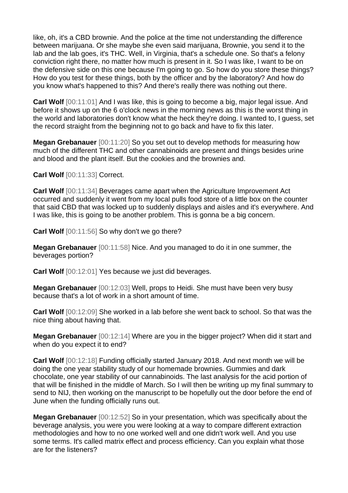like, oh, it's a CBD brownie. And the police at the time not understanding the difference between marijuana. Or she maybe she even said marijuana, Brownie, you send it to the lab and the lab goes, it's THC. Well, in Virginia, that's a schedule one. So that's a felony conviction right there, no matter how much is present in it. So I was like, I want to be on the defensive side on this one because I'm going to go. So how do you store these things? How do you test for these things, both by the officer and by the laboratory? And how do you know what's happened to this? And there's really there was nothing out there.

**Carl Wolf**  $[00:11:01]$  And I was like, this is going to become a big, major legal issue. And before it shows up on the 6 o'clock news in the morning news as this is the worst thing in the world and laboratories don't know what the heck they're doing. I wanted to, I guess, set the record straight from the beginning not to go back and have to fix this later.

**Megan Grebanauer** [00:11:20] So you set out to develop methods for measuring how much of the different THC and other cannabinoids are present and things besides urine and blood and the plant itself. But the cookies and the brownies and.

**Carl Wolf** [00:11:33] Correct.

**Carl Wolf** [00:11:34] Beverages came apart when the Agriculture Improvement Act occurred and suddenly it went from my local pulls food store of a little box on the counter that said CBD that was locked up to suddenly displays and aisles and it's everywhere. And I was like, this is going to be another problem. This is gonna be a big concern.

**Carl Wolf** [00:11:56] So why don't we go there?

**Megan Grebanauer** [00:11:58] Nice. And you managed to do it in one summer, the beverages portion?

**Carl Wolf** [00:12:01] Yes because we just did beverages.

**Megan Grebanauer** [00:12:03] Well, props to Heidi. She must have been very busy because that's a lot of work in a short amount of time.

**Carl Wolf** [00:12:09] She worked in a lab before she went back to school. So that was the nice thing about having that.

**Megan Grebanauer** [00:12:14] Where are you in the bigger project? When did it start and when do you expect it to end?

**Carl Wolf** [00:12:18] Funding officially started January 2018. And next month we will be doing the one year stability study of our homemade brownies. Gummies and dark chocolate, one year stability of our cannabinoids. The last analysis for the acid portion of that will be finished in the middle of March. So I will then be writing up my final summary to send to NIJ, then working on the manuscript to be hopefully out the door before the end of June when the funding officially runs out.

**Megan Grebanauer** [00:12:52] So in your presentation, which was specifically about the beverage analysis, you were you were looking at a way to compare different extraction methodologies and how to no one worked well and one didn't work well. And you use some terms. It's called matrix effect and process efficiency. Can you explain what those are for the listeners?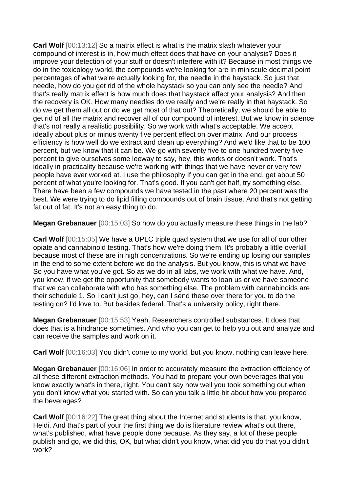**Carl Wolf**  $[00:13:12]$  So a matrix effect is what is the matrix slash whatever your compound of interest is in, how much effect does that have on your analysis? Does it improve your detection of your stuff or doesn't interfere with it? Because in most things we do in the toxicology world, the compounds we're looking for are in miniscule decimal point percentages of what we're actually looking for, the needle in the haystack. So just that needle, how do you get rid of the whole haystack so you can only see the needle? And that's really matrix effect is how much does that haystack affect your analysis? And then the recovery is OK. How many needles do we really and we're really in that haystack. So do we get them all out or do we get most of that out? Theoretically, we should be able to get rid of all the matrix and recover all of our compound of interest. But we know in science that's not really a realistic possibility. So we work with what's acceptable. We accept ideally about plus or minus twenty five percent effect on over matrix. And our process efficiency is how well do we extract and clean up everything? And we'd like that to be 100 percent, but we know that it can be. We go with seventy five to one hundred twenty five percent to give ourselves some leeway to say, hey, this works or doesn't work. That's ideally in practicality because we're working with things that we have never or very few people have ever worked at. I use the philosophy if you can get in the end, get about 50 percent of what you're looking for. That's good. If you can't get half, try something else. There have been a few compounds we have tested in the past where 20 percent was the best. We were trying to do lipid filling compounds out of brain tissue. And that's not getting fat out of fat. It's not an easy thing to do.

**Megan Grebanauer** [00:15:03] So how do you actually measure these things in the lab?

**Carl Wolf** [00:15:05] We have a UPLC triple quad system that we use for all of our other opiate and cannabinoid testing. That's how we're doing them. It's probably a little overkill because most of these are in high concentrations. So we're ending up losing our samples in the end to some extent before we do the analysis. But you know, this is what we have. So you have what you've got. So as we do in all labs, we work with what we have. And, you know, if we get the opportunity that somebody wants to loan us or we have someone that we can collaborate with who has something else. The problem with cannabinoids are their schedule 1. So I can't just go, hey, can I send these over there for you to do the testing on? I'd love to. But besides federal. That's a university policy, right there.

**Megan Grebanauer** [00:15:53] Yeah. Researchers controlled substances. It does that does that is a hindrance sometimes. And who you can get to help you out and analyze and can receive the samples and work on it.

**Carl Wolf**  $[00:16:03]$  You didn't come to my world, but you know, nothing can leave here.

**Megan Grebanauer** [00:16:06] In order to accurately measure the extraction efficiency of all these different extraction methods. You had to prepare your own beverages that you know exactly what's in there, right. You can't say how well you took something out when you don't know what you started with. So can you talk a little bit about how you prepared the beverages?

**Carl Wolf** [00:16:22] The great thing about the Internet and students is that, you know, Heidi. And that's part of your the first thing we do is literature review what's out there, what's published, what have people done because. As they say, a lot of these people publish and go, we did this, OK, but what didn't you know, what did you do that you didn't work?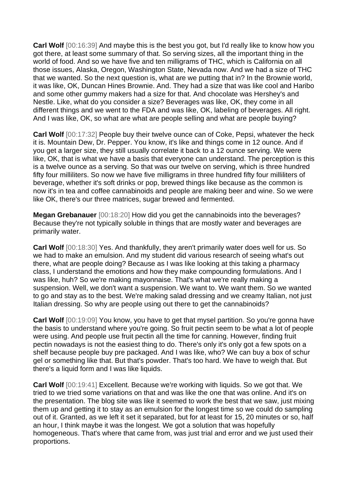**Carl Wolf** [00:16:39] And maybe this is the best you got, but I'd really like to know how you got there, at least some summary of that. So serving sizes, all the important thing in the world of food. And so we have five and ten milligrams of THC, which is California on all those issues, Alaska, Oregon, Washington State, Nevada now. And we had a size of THC that we wanted. So the next question is, what are we putting that in? In the Brownie world, it was like, OK, Duncan Hines Brownie. And. They had a size that was like cool and Haribo and some other gummy makers had a size for that. And chocolate was Hershey's and Nestle. Like, what do you consider a size? Beverages was like, OK, they come in all different things and we went to the FDA and was like, OK, labeling of beverages. All right. And I was like, OK, so what are what are people selling and what are people buying?

**Carl Wolf** [00:17:32] People buy their twelve ounce can of Coke, Pepsi, whatever the heck it is. Mountain Dew, Dr. Pepper. You know, it's like and things come in 12 ounce. And if you get a larger size, they still usually correlate it back to a 12 ounce serving. We were like, OK, that is what we have a basis that everyone can understand. The perception is this is a twelve ounce as a serving. So that was our twelve on serving, which is three hundred fifty four milliliters. So now we have five milligrams in three hundred fifty four milliliters of beverage, whether it's soft drinks or pop, brewed things like because as the common is now it's in tea and coffee cannabinoids and people are making beer and wine. So we were like OK, there's our three matrices, sugar brewed and fermented.

**Megan Grebanauer** [00:18:20] How did you get the cannabinoids into the beverages? Because they're not typically soluble in things that are mostly water and beverages are primarily water.

**Carl Wolf** [00:18:30] Yes. And thankfully, they aren't primarily water does well for us. So we had to make an emulsion. And my student did various research of seeing what's out there, what are people doing? Because as I was like looking at this taking a pharmacy class, I understand the emotions and how they make compounding formulations. And I was like, huh? So we're making mayonnaise. That's what we're really making a suspension. Well, we don't want a suspension. We want to. We want them. So we wanted to go and stay as to the best. We're making salad dressing and we creamy Italian, not just Italian dressing. So why are people using out there to get the cannabinoids?

**Carl Wolf** [00:19:09] You know, you have to get that mysel partition. So you're gonna have the basis to understand where you're going. So fruit pectin seem to be what a lot of people were using. And people use fruit pectin all the time for canning. However, finding fruit pectin nowadays is not the easiest thing to do. There's only it's only got a few spots on a shelf because people buy pre packaged. And I was like, who? We can buy a box of schur gel or something like that. But that's powder. That's too hard. We have to weigh that. But there's a liquid form and I was like liquids.

**Carl Wolf** [00:19:41] Excellent. Because we're working with liquids. So we got that. We tried to we tried some variations on that and was like the one that was online. And it's on the presentation. The blog site was like it seemed to work the best that we saw, just mixing them up and getting it to stay as an emulsion for the longest time so we could do sampling out of it. Granted, as we left it set it separated, but for at least for 15, 20 minutes or so, half an hour, I think maybe it was the longest. We got a solution that was hopefully homogeneous. That's where that came from, was just trial and error and we just used their proportions.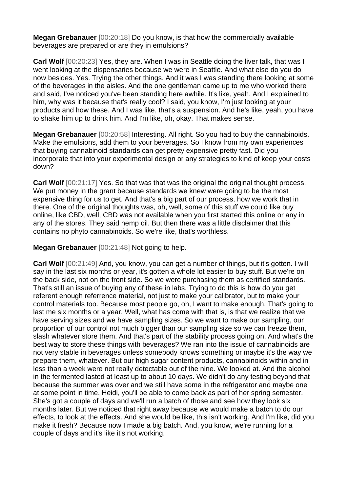**Megan Grebanauer** [00:20:18] Do you know, is that how the commercially available beverages are prepared or are they in emulsions?

**Carl Wolf** [00:20:23] Yes, they are. When I was in Seattle doing the liver talk, that was I went looking at the dispensaries because we were in Seattle. And what else do you do now besides. Yes. Trying the other things. And it was I was standing there looking at some of the beverages in the aisles. And the one gentleman came up to me who worked there and said, I've noticed you've been standing here awhile. It's like, yeah. And I explained to him, why was it because that's really cool? I said, you know, I'm just looking at your products and how these. And I was like, that's a suspension. And he's like, yeah, you have to shake him up to drink him. And I'm like, oh, okay. That makes sense.

**Megan Grebanauer** [00:20:58] Interesting. All right. So you had to buy the cannabinoids. Make the emulsions, add them to your beverages. So I know from my own experiences that buying cannabinoid standards can get pretty expensive pretty fast. Did you incorporate that into your experimental design or any strategies to kind of keep your costs down?

**Carl Wolf**  $[00:21:17]$  Yes. So that was that was the original the original thought process. We put money in the grant because standards we knew were going to be the most expensive thing for us to get. And that's a big part of our process, how we work that in there. One of the original thoughts was, oh, well, some of this stuff we could like buy online, like CBD, well, CBD was not available when you first started this online or any in any of the stores. They said hemp oil. But then there was a little disclaimer that this contains no phyto cannabinoids. So we're like, that's worthless.

**Megan Grebanauer** [00:21:48] Not going to help.

**Carl Wolf** [00:21:49] And, you know, you can get a number of things, but it's gotten. I will say in the last six months or year, it's gotten a whole lot easier to buy stuff. But we're on the back side, not on the front side. So we were purchasing them as certified standards. That's still an issue of buying any of these in labs. Trying to do this is how do you get referent enough referrence material, not just to make your calibrator, but to make your control materials too. Because most people go, oh, I want to make enough. That's going to last me six months or a year. Well, what has come with that is, is that we realize that we have serving sizes and we have sampling sizes. So we want to make our sampling, our proportion of our control not much bigger than our sampling size so we can freeze them, slash whatever store them. And that's part of the stability process going on. And what's the best way to store these things with beverages? We ran into the issue of cannabinoids are not very stable in beverages unless somebody knows something or maybe it's the way we prepare them, whatever. But our high sugar content products, cannabinoids within and in less than a week were not really detectable out of the nine. We looked at. And the alcohol in the fermented lasted at least up to about 10 days. We didn't do any testing beyond that because the summer was over and we still have some in the refrigerator and maybe one at some point in time, Heidi, you'll be able to come back as part of her spring semester. She's got a couple of days and we'll run a batch of those and see how they look six months later. But we noticed that right away because we would make a batch to do our effects, to look at the effects. And she would be like, this isn't working. And I'm like, did you make it fresh? Because now I made a big batch. And, you know, we're running for a couple of days and it's like it's not working.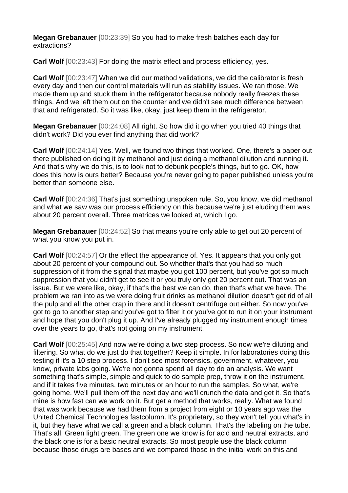**Megan Grebanauer** [00:23:39] So you had to make fresh batches each day for extractions?

**Carl Wolf** [00:23:43] For doing the matrix effect and process efficiency, yes.

**Carl Wolf** [00:23:47] When we did our method validations, we did the calibrator is fresh every day and then our control materials will run as stability issues. We ran those. We made them up and stuck them in the refrigerator because nobody really freezes these things. And we left them out on the counter and we didn't see much difference between that and refrigerated. So it was like, okay, just keep them in the refrigerator.

**Megan Grebanauer** [00:24:08] All right. So how did it go when you tried 40 things that didn't work? Did you ever find anything that did work?

**Carl Wolf** [00:24:14] Yes. Well, we found two things that worked. One, there's a paper out there published on doing it by methanol and just doing a methanol dilution and running it. And that's why we do this, is to look not to debunk people's things, but to go. OK, how does this how is ours better? Because you're never going to paper published unless you're better than someone else.

**Carl Wolf** [00:24:36] That's just something unspoken rule. So, you know, we did methanol and what we saw was our process efficiency on this because we're just eluding them was about 20 percent overall. Three matrices we looked at, which I go.

**Megan Grebanauer** [00:24:52] So that means you're only able to get out 20 percent of what you know you put in.

**Carl Wolf** [00:24:57] Or the effect the appearance of. Yes. It appears that you only got about 20 percent of your compound out. So whether that's that you had so much suppression of it from the signal that maybe you got 100 percent, but you've got so much suppression that you didn't get to see it or you truly only got 20 percent out. That was an issue. But we were like, okay, if that's the best we can do, then that's what we have. The problem we ran into as we were doing fruit drinks as methanol dilution doesn't get rid of all the pulp and all the other crap in there and it doesn't centrifuge out either. So now you've got to go to another step and you've got to filter it or you've got to run it on your instrument and hope that you don't plug it up. And I've already plugged my instrument enough times over the years to go, that's not going on my instrument.

**Carl Wolf** [00:25:45] And now we're doing a two step process. So now we're diluting and filtering. So what do we just do that together? Keep it simple. In for laboratories doing this testing if it's a 10 step process. I don't see most forensics, government, whatever, you know, private labs going. We're not gonna spend all day to do an analysis. We want something that's simple, simple and quick to do sample prep, throw it on the instrument, and if it takes five minutes, two minutes or an hour to run the samples. So what, we're going home. We'll pull them off the next day and we'll crunch the data and get it. So that's mine is how fast can we work on it. But get a method that works, really. What we found that was work because we had them from a project from eight or 10 years ago was the United Chemical Technologies fastcolumn. It's proprietary, so they won't tell you what's in it, but they have what we call a green and a black column. That's the labeling on the tube. That's all. Green light green. The green one we know is for acid and neutral extracts, and the black one is for a basic neutral extracts. So most people use the black column because those drugs are bases and we compared those in the initial work on this and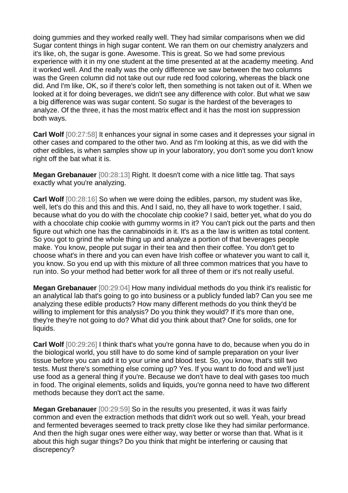doing gummies and they worked really well. They had similar comparisons when we did Sugar content things in high sugar content. We ran them on our chemistry analyzers and it's like, oh, the sugar is gone. Awesome. This is great. So we had some previous experience with it in my one student at the time presented at at the academy meeting. And it worked well. And the really was the only difference we saw between the two columns was the Green column did not take out our rude red food coloring, whereas the black one did. And I'm like, OK, so if there's color left, then something is not taken out of it. When we looked at it for doing beverages, we didn't see any difference with color. But what we saw a big difference was was sugar content. So sugar is the hardest of the beverages to analyze. Of the three, it has the most matrix effect and it has the most ion suppression both ways.

**Carl Wolf** [00:27:58] It enhances your signal in some cases and it depresses your signal in other cases and compared to the other two. And as I'm looking at this, as we did with the other edibles, is when samples show up in your laboratory, you don't some you don't know right off the bat what it is.

**Megan Grebanauer** [00:28:13] Right. It doesn't come with a nice little tag. That says exactly what you're analyzing.

**Carl Wolf** [00:28:16] So when we were doing the edibles, parson, my student was like, well, let's do this and this and this. And I said, no, they all have to work together. I said, because what do you do with the chocolate chip cookie? I said, better yet, what do you do with a chocolate chip cookie with gummy worms in it? You can't pick out the parts and then figure out which one has the cannabinoids in it. It's as a the law is written as total content. So you got to grind the whole thing up and analyze a portion of that beverages people make. You know, people put sugar in their tea and then their coffee. You don't get to choose what's in there and you can even have Irish coffee or whatever you want to call it, you know. So you end up with this mixture of all three common matrices that you have to run into. So your method had better work for all three of them or it's not really useful.

**Megan Grebanauer** [00:29:04] How many individual methods do you think it's realistic for an analytical lab that's going to go into business or a publicly funded lab? Can you see me analyzing these edible products? How many different methods do you think they'd be willing to implement for this analysis? Do you think they would? If it's more than one, they're they're not going to do? What did you think about that? One for solids, one for liquids.

**Carl Wolf** [00:29:26] I think that's what you're gonna have to do, because when you do in the biological world, you still have to do some kind of sample preparation on your liver tissue before you can add it to your urine and blood test. So, you know, that's still two tests. Must there's something else coming up? Yes. If you want to do food and we'll just use food as a general thing if you're. Because we don't have to deal with gases too much in food. The original elements, solids and liquids, you're gonna need to have two different methods because they don't act the same.

**Megan Grebanauer** [00:29:59] So in the results you presented, it was it was fairly common and even the extraction methods that didn't work out so well. Yeah, your bread and fermented beverages seemed to track pretty close like they had similar performance. And then the high sugar ones were either way, way better or worse than that. What is it about this high sugar things? Do you think that might be interfering or causing that discrepency?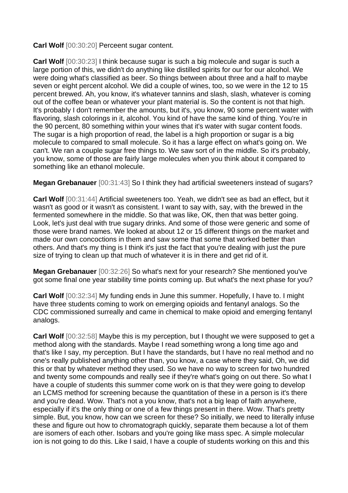**Carl Wolf** [00:30:20] Perceent sugar content.

**Carl Wolf** [00:30:23] I think because sugar is such a big molecule and sugar is such a large portion of this, we didn't do anything like distilled spirits for our for our alcohol. We were doing what's classified as beer. So things between about three and a half to maybe seven or eight percent alcohol. We did a couple of wines, too, so we were in the 12 to 15 percent brewed. Ah, you know, it's whatever tannins and slash, slash, whatever is coming out of the coffee bean or whatever your plant material is. So the content is not that high. It's probably I don't remember the amounts, but it's, you know, 90 some percent water with flavoring, slash colorings in it, alcohol. You kind of have the same kind of thing. You're in the 90 percent, 80 something within your wines that it's water with sugar content foods. The sugar is a high proportion of read, the label is a high proportion or sugar is a big molecule to compared to small molecule. So it has a large effect on what's going on. We can't. We ran a couple sugar free things to. We saw sort of in the middle. So it's probably, you know, some of those are fairly large molecules when you think about it compared to something like an ethanol molecule.

**Megan Grebanauer** [00:31:43] So I think they had artificial sweeteners instead of sugars?

**Carl Wolf** [00:31:44] Artificial sweeteners too. Yeah, we didn't see as bad an effect, but it wasn't as good or it wasn't as consistent. I want to say with, say, with the brewed in the fermented somewhere in the middle. So that was like, OK, then that was better going. Look, let's just deal with true sugary drinks. And some of those were generic and some of those were brand names. We looked at about 12 or 15 different things on the market and made our own concoctions in them and saw some that some that worked better than others. And that's my thing is I think it's just the fact that you're dealing with just the pure size of trying to clean up that much of whatever it is in there and get rid of it.

**Megan Grebanauer** [00:32:26] So what's next for your research? She mentioned you've got some final one year stability time points coming up. But what's the next phase for you?

**Carl Wolf** [00:32:34] My funding ends in June this summer. Hopefully, I have to. I might have three students coming to work on emerging opioids and fentanyl analogs. So the CDC commissioned surreally and came in chemical to make opioid and emerging fentanyl analogs.

**Carl Wolf**  $[00:32:58]$  Maybe this is my perception, but I thought we were supposed to get a method along with the standards. Maybe I read something wrong a long time ago and that's like I say, my perception. But I have the standards, but I have no real method and no one's really published anything other than, you know, a case where they said, Oh, we did this or that by whatever method they used. So we have no way to screen for two hundred and twenty some compounds and really see if they're what's going on out there. So what I have a couple of students this summer come work on is that they were going to develop an LCMS method for screening because the quantitation of these in a person is it's there and you're dead. Wow. That's not a you know, that's not a big leap of faith anywhere, especially if it's the only thing or one of a few things present in there. Wow. That's pretty simple. But, you know, how can we screen for these? So initially, we need to literally infuse these and figure out how to chromatograph quickly, separate them because a lot of them are isomers of each other. Isobars and you're going like mass spec. A simple molecular ion is not going to do this. Like I said, I have a couple of students working on this and this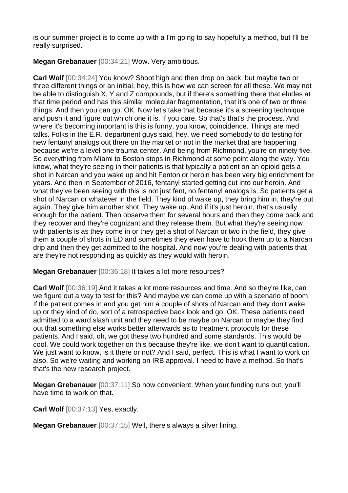is our summer project is to come up with a I'm going to say hopefully a method, but I'll be really surprised.

**Megan Grebanauer** [00:34:21] Wow. Very ambitious.

**Carl Wolf** [00:34:24] You know? Shoot high and then drop on back, but maybe two or three different things or an initial, hey, this is how we can screen for all these. We may not be able to distinguish X, Y and Z compounds, but if there's something there that eludes at that time period and has this similar molecular fragmentation, that it's one of two or three things. And then you can go. OK. Now let's take that because it's a screening technique and push it and figure out which one it is. If you care. So that's that's the process. And where it's becoming important is this is funny, you know, coincidence. Things are med talks. Folks in the E.R. department guys said, hey, we need somebody to do testing for new fentanyl analogs out there on the market or not in the market that are happening because we're a level one trauma center. And being from Richmond, you're on ninety five. So everything from Miami to Boston stops in Richmond at some point along the way. You know, what they're seeing in their patients is that typically a patient on an opioid gets a shot in Narcan and you wake up and hit Fenton or heroin has been very big enrichment for years. And then in September of 2016, fentanyl started getting cut into our heroin. And what they've been seeing with this is not just fent, no fentanyl analogs is. So patients get a shot of Narcan or whatever in the field. They kind of wake up, they bring him in, they're out again. They give him another shot. They wake up. And if it's just heroin, that's usually enough for the patient. Then observe them for several hours and then they come back and they recover and they're cognizant and they release them. But what they're seeing now with patients is as they come in or they get a shot of Narcan or two in the field, they give them a couple of shots in ED and sometimes they even have to hook them up to a Narcan drip and then they get admitted to the hospital. And now you're dealing with patients that are they're not responding as quickly as they would with heroin.

**Megan Grebanauer** [00:36:18] It takes a lot more resources?

**Carl Wolf** [00:36:19] And it takes a lot more resources and time. And so they're like, can we figure out a way to test for this? And maybe we can come up with a scenario of boom. If the patient comes in and you get him a couple of shots of Narcan and they don't wake up or they kind of do, sort of a retrospective back look and go, OK. These patients need admitted to a ward slash unit and they need to be maybe on Narcan or maybe they find out that something else works better afterwards as to treatment protocols for these patients. And I said, oh, we got these two hundred and some standards. This would be cool. We could work together on this because they're like, we don't want to quantification. We just want to know, is it there or not? And I said, perfect. This is what I want to work on also. So we're waiting and working on IRB approval. I need to have a method. So that's that's the new research project.

**Megan Grebanauer** [00:37:11] So how convenient. When your funding runs out, you'll have time to work on that.

**Carl Wolf** [00:37:13] Yes, exactly.

**Megan Grebanauer** [00:37:15] Well, there's always a silver lining.